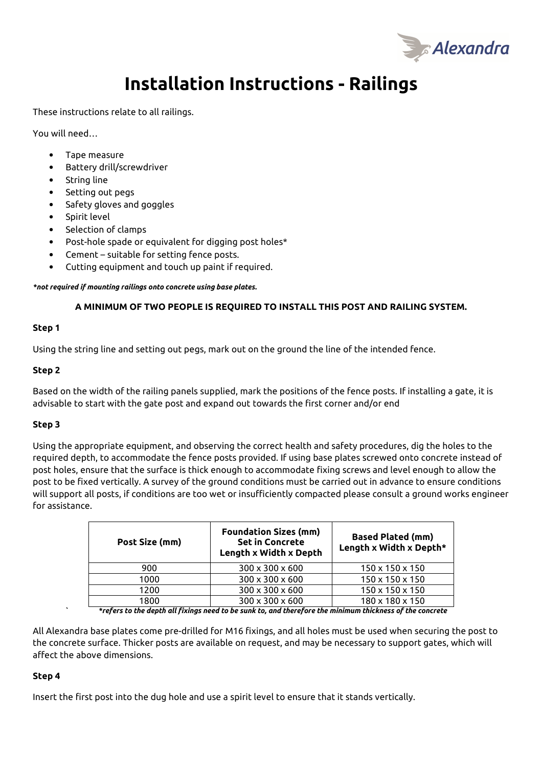

# **Installation Instructions - Railings**

These instructions relate to all railings.

You will need…

- Tape measure
- Battery drill/screwdriver
- String line
- Setting out pegs
- Safety gloves and goggles
- Spirit level
- Selection of clamps
- Post-hole spade or equivalent for digging post holes\*
- Cement suitable for setting fence posts.
- Cutting equipment and touch up paint if required.

*\*not required if mounting railings onto concrete using base plates.* 

## **A MINIMUM OF TWO PEOPLE IS REQUIRED TO INSTALL THIS POST AND RAILING SYSTEM.**

## **Step 1**

Using the string line and setting out pegs, mark out on the ground the line of the intended fence.

## **Step 2**

Based on the width of the railing panels supplied, mark the positions of the fence posts. If installing a gate, it is advisable to start with the gate post and expand out towards the first corner and/or end

## **Step 3**

Using the appropriate equipment, and observing the correct health and safety procedures, dig the holes to the required depth, to accommodate the fence posts provided. If using base plates screwed onto concrete instead of post holes, ensure that the surface is thick enough to accommodate fixing screws and level enough to allow the post to be fixed vertically. A survey of the ground conditions must be carried out in advance to ensure conditions will support all posts, if conditions are too wet or insufficiently compacted please consult a ground works engineer for assistance.

| Post Size (mm) | <b>Foundation Sizes (mm)</b><br><b>Set in Concrete</b><br>Length x Width x Depth | <b>Based Plated (mm)</b><br>Length x Width x Depth* |
|----------------|----------------------------------------------------------------------------------|-----------------------------------------------------|
| 900            | $300 \times 300 \times 600$                                                      | $150 \times 150 \times 150$                         |
| 1000           | 300 x 300 x 600                                                                  | $150 \times 150 \times 150$                         |
| 1200           | 300 x 300 x 600                                                                  | $150 \times 150 \times 150$                         |
| 1800           | $300 \times 300 \times 600$                                                      | 180 x 180 x 150                                     |
| .<br>.         | .<br>.                                                                           | . .                                                 |

*` \*refers to the depth all fixings need to be sunk to, and therefore the minimum thickness of the concrete* 

All Alexandra base plates come pre-drilled for M16 fixings, and all holes must be used when securing the post to the concrete surface. Thicker posts are available on request, and may be necessary to support gates, which will affect the above dimensions.

## **Step 4**

Insert the first post into the dug hole and use a spirit level to ensure that it stands vertically.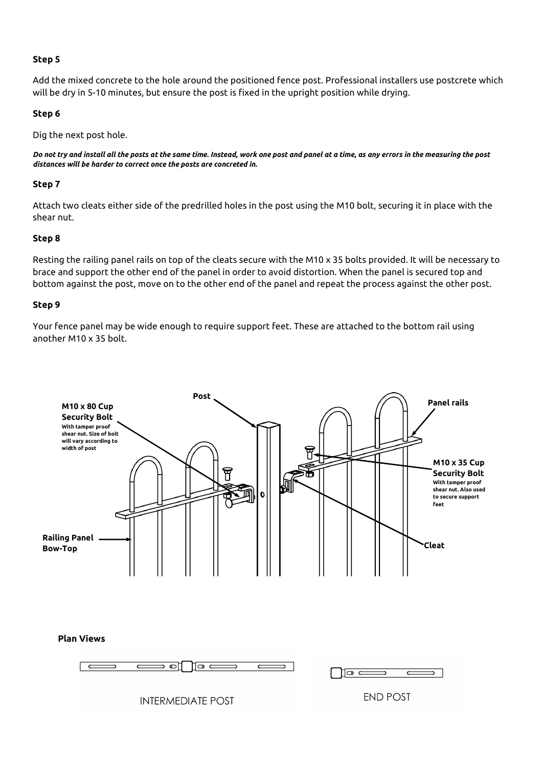## **Step 5**

Add the mixed concrete to the hole around the positioned fence post. Professional installers use postcrete which will be dry in 5-10 minutes, but ensure the post is fixed in the upright position while drying.

## **Step 6**

Dig the next post hole.

*Do not try and install all the posts at the same time. Instead, work one post and panel at a time, as any errors in the measuring the post distances will be harder to correct once the posts are concreted in.* 

# **Step 7**

Attach two cleats either side of the predrilled holes in the post using the M10 bolt, securing it in place with the shear nut.

## **Step 8**

Resting the railing panel rails on top of the cleats secure with the M10 x 35 bolts provided. It will be necessary to brace and support the other end of the panel in order to avoid distortion. When the panel is secured top and bottom against the post, move on to the other end of the panel and repeat the process against the other post.

## **Step 9**

Your fence panel may be wide enough to require support feet. These are attached to the bottom rail using another M10 x 35 bolt.



## **Plan Views**





**INTERMEDIATE POST**